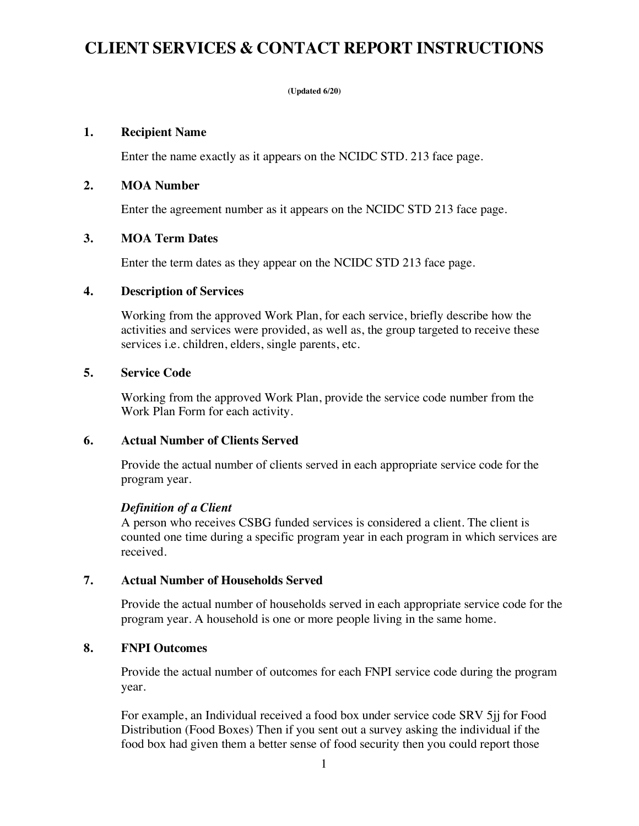# **CLIENT SERVICES & CONTACT REPORT INSTRUCTIONS**

#### **(Updated 6/20)**

#### **1. Recipient Name**

Enter the name exactly as it appears on the NCIDC STD. 213 face page.

## **2. MOA Number**

Enter the agreement number as it appears on the NCIDC STD 213 face page.

## **3. MOA Term Dates**

Enter the term dates as they appear on the NCIDC STD 213 face page.

## **4. Description of Services**

Working from the approved Work Plan, for each service, briefly describe how the activities and services were provided, as well as, the group targeted to receive these services i.e. children, elders, single parents, etc.

## **5. Service Code**

Working from the approved Work Plan, provide the service code number from the Work Plan Form for each activity.

# **6. Actual Number of Clients Served**

Provide the actual number of clients served in each appropriate service code for the program year.

# *Definition of a Client*

A person who receives CSBG funded services is considered a client. The client is counted one time during a specific program year in each program in which services are received.

# **7. Actual Number of Households Served**

Provide the actual number of households served in each appropriate service code for the program year. A household is one or more people living in the same home.

# **8. FNPI Outcomes**

Provide the actual number of outcomes for each FNPI service code during the program year.

For example, an Individual received a food box under service code SRV 5jj for Food Distribution (Food Boxes) Then if you sent out a survey asking the individual if the food box had given them a better sense of food security then you could report those